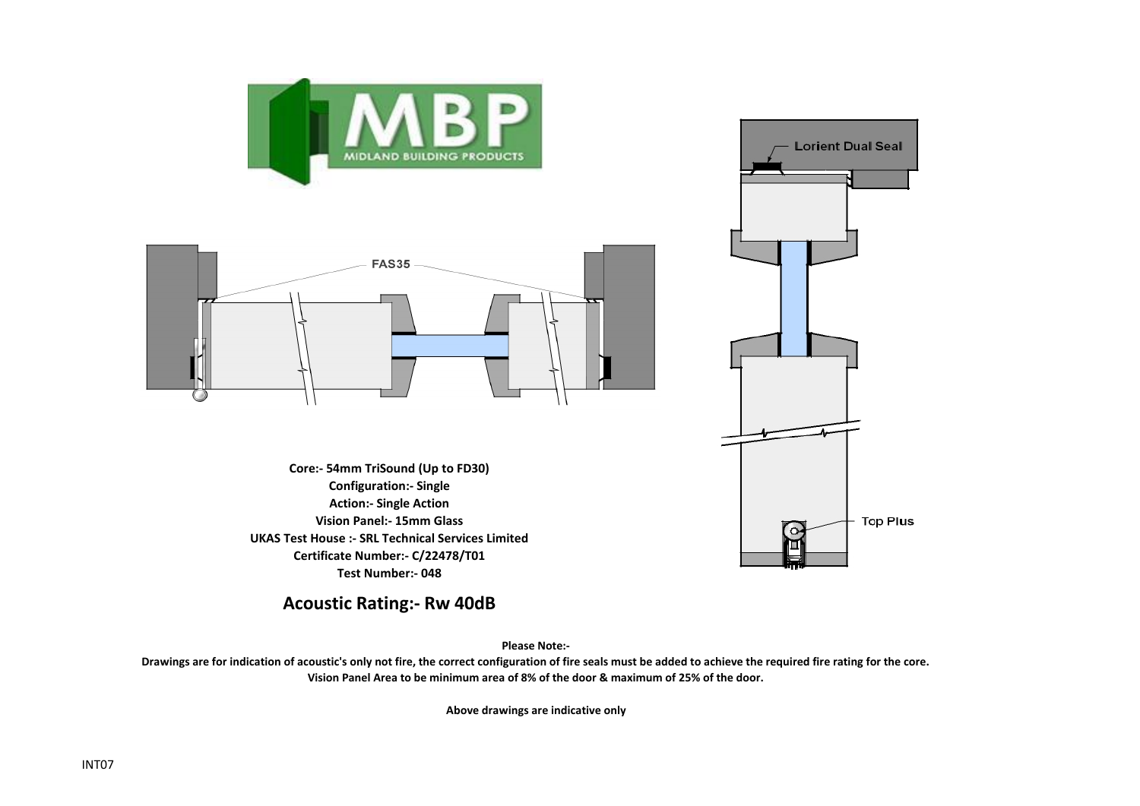

**Acoustic Rating:- Rw 40dB**

**Please Note:-** 

**Drawings are for indication of acoustic's only not fire, the correct configuration of fire seals must be added to achieve the required fire rating for the core. Vision Panel Area to be minimum area of 8% of the door & maximum of 25% of the door.**

**Above drawings are indicative only**